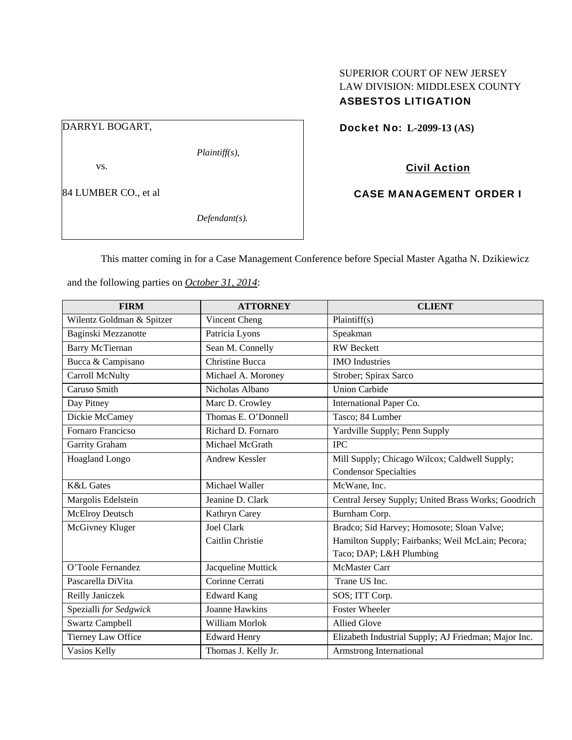# SUPERIOR COURT OF NEW JERSEY LAW DIVISION: MIDDLESEX COUNTY ASBESTOS LITIGATION

DARRYL BOGART,

*Plaintiff(s),* 

vs.

84 LUMBER CO., et al

*Defendant(s).* 

Docket No: **L-2099-13 (AS)** 

Civil Action

CASE MANAGEMENT ORDER I

This matter coming in for a Case Management Conference before Special Master Agatha N. Dzikiewicz

**FIRM ATTORNEY CLIENT** Wilentz Goldman & Spitzer  $\vert$  Vincent Cheng  $\vert$  Plaintiff(s) Baginski Mezzanotte Patricia Lyons Speakman Barry McTiernan Sean M. Connelly RW Beckett Bucca & Campisano Christine Bucca IMO Industries Carroll McNulty Michael A. Moroney Strober; Spirax Sarco Caruso Smith Nicholas Albano Union Carbide Day Pitney Marc D. Crowley International Paper Co. Dickie McCamey Thomas E. O'Donnell Tasco; 84 Lumber Fornaro Francicso Richard D. Fornaro Yardville Supply; Penn Supply Garrity Graham Michael McGrath IPC Hoagland Longo **Andrew Kessler** Mill Supply; Chicago Wilcox; Caldwell Supply; Condensor Specialties K&L Gates Michael Waller McWane, Inc. Margolis Edelstein Jeanine D. Clark Central Jersey Supply; United Brass Works; Goodrich McElroy Deutsch Kathryn Carey Burnham Corp. McGivney Kluger Joel Clark Caitlin Christie Bradco; Sid Harvey; Homosote; Sloan Valve; Hamilton Supply; Fairbanks; Weil McLain; Pecora; Taco; DAP; L&H Plumbing O'Toole Fernandez Jacqueline Muttick McMaster Carr Pascarella DiVita Corinne Cerrati Trane US Inc. Reilly Janiczek | Edward Kang | SOS; ITT Corp. Spezialli *for Sedgwick* Joanne Hawkins Foster Wheeler Swartz Campbell **William Morlok** Allied Glove Tierney Law Office Edward Henry Elizabeth Industrial Supply; AJ Friedman; Major Inc. Vasios Kelly Thomas J. Kelly Jr. Armstrong International

and the following parties on *October 31, 2014*: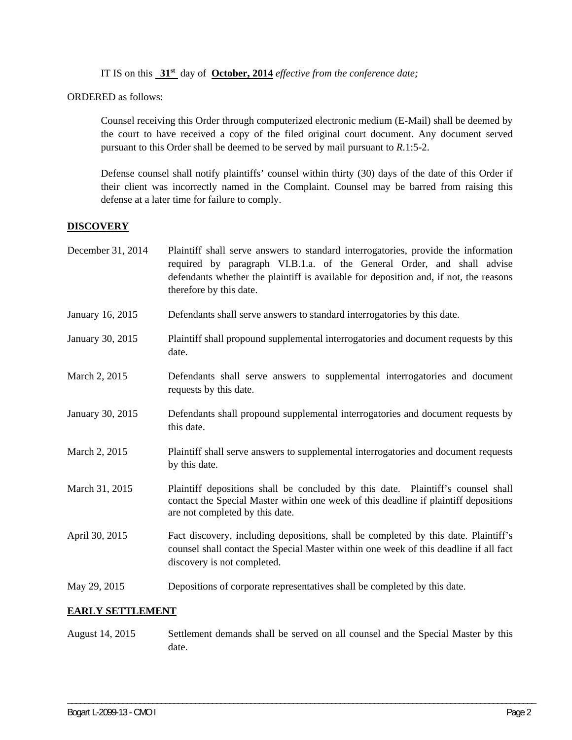IT IS on this **31st** day of **October, 2014** *effective from the conference date;*

ORDERED as follows:

Counsel receiving this Order through computerized electronic medium (E-Mail) shall be deemed by the court to have received a copy of the filed original court document. Any document served pursuant to this Order shall be deemed to be served by mail pursuant to *R*.1:5-2.

Defense counsel shall notify plaintiffs' counsel within thirty (30) days of the date of this Order if their client was incorrectly named in the Complaint. Counsel may be barred from raising this defense at a later time for failure to comply.

# **DISCOVERY**

| December 31, 2014 | Plaintiff shall serve answers to standard interrogatories, provide the information<br>required by paragraph VI.B.1.a. of the General Order, and shall advise<br>defendants whether the plaintiff is available for deposition and, if not, the reasons<br>therefore by this date. |
|-------------------|----------------------------------------------------------------------------------------------------------------------------------------------------------------------------------------------------------------------------------------------------------------------------------|
| January 16, 2015  | Defendants shall serve answers to standard interrogatories by this date.                                                                                                                                                                                                         |
| January 30, 2015  | Plaintiff shall propound supplemental interrogatories and document requests by this<br>date.                                                                                                                                                                                     |
| March 2, 2015     | Defendants shall serve answers to supplemental interrogatories and document<br>requests by this date.                                                                                                                                                                            |
| January 30, 2015  | Defendants shall propound supplemental interrogatories and document requests by<br>this date.                                                                                                                                                                                    |
| March 2, 2015     | Plaintiff shall serve answers to supplemental interrogatories and document requests<br>by this date.                                                                                                                                                                             |
| March 31, 2015    | Plaintiff depositions shall be concluded by this date. Plaintiff's counsel shall<br>contact the Special Master within one week of this deadline if plaintiff depositions<br>are not completed by this date.                                                                      |
| April 30, 2015    | Fact discovery, including depositions, shall be completed by this date. Plaintiff's<br>counsel shall contact the Special Master within one week of this deadline if all fact<br>discovery is not completed.                                                                      |
| May 29, 2015      | Depositions of corporate representatives shall be completed by this date.                                                                                                                                                                                                        |

# **EARLY SETTLEMENT**

August 14, 2015 Settlement demands shall be served on all counsel and the Special Master by this date.

\_\_\_\_\_\_\_\_\_\_\_\_\_\_\_\_\_\_\_\_\_\_\_\_\_\_\_\_\_\_\_\_\_\_\_\_\_\_\_\_\_\_\_\_\_\_\_\_\_\_\_\_\_\_\_\_\_\_\_\_\_\_\_\_\_\_\_\_\_\_\_\_\_\_\_\_\_\_\_\_\_\_\_\_\_\_\_\_\_\_\_\_\_\_\_\_\_\_\_\_\_\_\_\_\_\_\_\_\_\_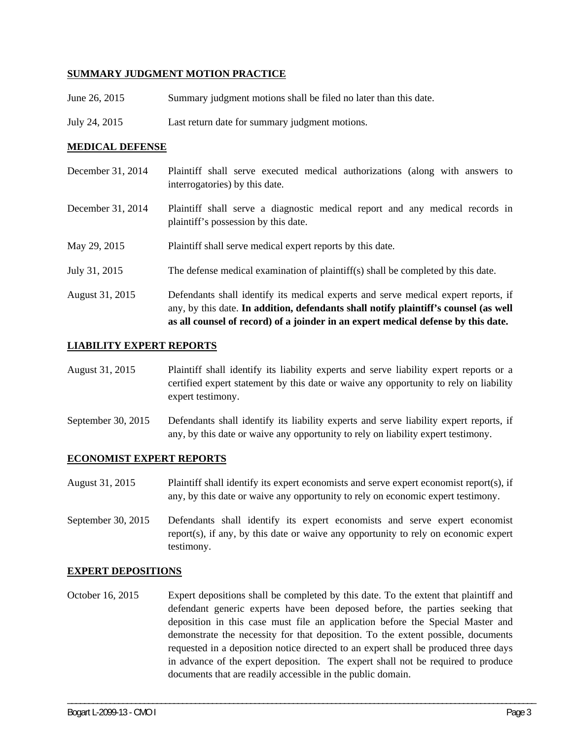## **SUMMARY JUDGMENT MOTION PRACTICE**

- June 26, 2015 Summary judgment motions shall be filed no later than this date.
- July 24, 2015 Last return date for summary judgment motions.

## **MEDICAL DEFENSE**

- December 31, 2014 Plaintiff shall serve executed medical authorizations (along with answers to interrogatories) by this date.
- December 31, 2014 Plaintiff shall serve a diagnostic medical report and any medical records in plaintiff's possession by this date.
- May 29, 2015 Plaintiff shall serve medical expert reports by this date.
- July 31, 2015 The defense medical examination of plaintiff(s) shall be completed by this date.
- August 31, 2015 Defendants shall identify its medical experts and serve medical expert reports, if any, by this date. **In addition, defendants shall notify plaintiff's counsel (as well as all counsel of record) of a joinder in an expert medical defense by this date.**

#### **LIABILITY EXPERT REPORTS**

- August 31, 2015 Plaintiff shall identify its liability experts and serve liability expert reports or a certified expert statement by this date or waive any opportunity to rely on liability expert testimony.
- September 30, 2015 Defendants shall identify its liability experts and serve liability expert reports, if any, by this date or waive any opportunity to rely on liability expert testimony.

#### **ECONOMIST EXPERT REPORTS**

- August 31, 2015 Plaintiff shall identify its expert economists and serve expert economist report(s), if any, by this date or waive any opportunity to rely on economic expert testimony.
- September 30, 2015 Defendants shall identify its expert economists and serve expert economist report(s), if any, by this date or waive any opportunity to rely on economic expert testimony.

#### **EXPERT DEPOSITIONS**

October 16, 2015 Expert depositions shall be completed by this date. To the extent that plaintiff and defendant generic experts have been deposed before, the parties seeking that deposition in this case must file an application before the Special Master and demonstrate the necessity for that deposition. To the extent possible, documents requested in a deposition notice directed to an expert shall be produced three days in advance of the expert deposition. The expert shall not be required to produce documents that are readily accessible in the public domain.

\_\_\_\_\_\_\_\_\_\_\_\_\_\_\_\_\_\_\_\_\_\_\_\_\_\_\_\_\_\_\_\_\_\_\_\_\_\_\_\_\_\_\_\_\_\_\_\_\_\_\_\_\_\_\_\_\_\_\_\_\_\_\_\_\_\_\_\_\_\_\_\_\_\_\_\_\_\_\_\_\_\_\_\_\_\_\_\_\_\_\_\_\_\_\_\_\_\_\_\_\_\_\_\_\_\_\_\_\_\_